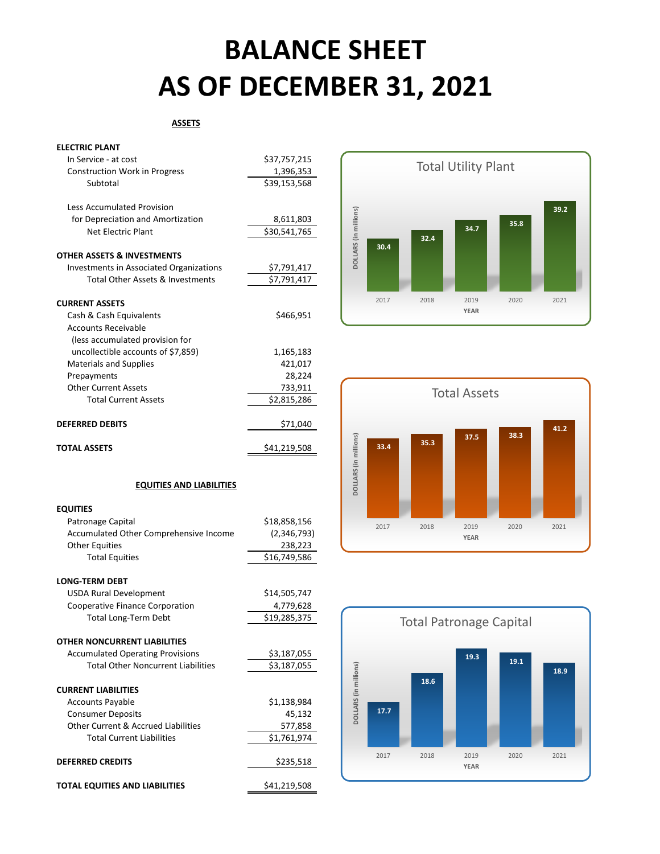## **BALANCE SHEET AS OF DECEMBER 31, 2021**

#### **ASSETS**

| <b>ELECTRIC PLANT</b> |  |
|-----------------------|--|
|-----------------------|--|

| In Service - at cost                    | \$37,757,215 |
|-----------------------------------------|--------------|
| <b>Construction Work in Progress</b>    | 1,396,353    |
| Subtotal                                | \$39,153,568 |
| <b>Less Accumulated Provision</b>       |              |
| for Depreciation and Amortization       | 8,611,803    |
| Net Electric Plant                      | \$30,541,765 |
| <b>OTHER ASSETS &amp; INVESTMENTS</b>   |              |
| Investments in Associated Organizations | \$7,791,417  |
| Total Other Assets & Investments        | \$7,791,417  |
|                                         |              |
| <b>CURRENT ASSETS</b>                   |              |
| Cash & Cash Equivalents                 | \$466,951    |
| <b>Accounts Receivable</b>              |              |
| (less accumulated provision for         |              |
| uncollectible accounts of \$7,859)      | 1,165,183    |
| <b>Materials and Supplies</b>           | 421,017      |
| Prepayments                             | 28,224       |
| <b>Other Current Assets</b>             | 733,911      |
| <b>Total Current Assets</b>             | \$2,815,286  |
| <b>DEFERRED DEBITS</b>                  | \$71,040     |
|                                         |              |
| <b>TOTAL ASSETS</b>                     | \$41,219,508 |







#### **EQUITIES AND LIABILITIES**

| <b>EQUITIES</b>                           |              |
|-------------------------------------------|--------------|
| Patronage Capital                         | \$18,858,156 |
| Accumulated Other Comprehensive Income    | (2,346,793)  |
| <b>Other Equities</b>                     | 238,223      |
| <b>Total Equities</b>                     | \$16,749,586 |
|                                           |              |
| <b>LONG-TERM DEBT</b>                     |              |
| <b>USDA Rural Development</b>             | \$14,505,747 |
| Cooperative Finance Corporation           | 4,779,628    |
| <b>Total Long-Term Debt</b>               | \$19,285,375 |
|                                           |              |
| <b>OTHER NONCURRENT LIABILITIES</b>       |              |
| <b>Accumulated Operating Provisions</b>   | \$3,187,055  |
| <b>Total Other Noncurrent Liabilities</b> | \$3,187,055  |
|                                           |              |
| <b>CURRENT LIABILITIES</b>                |              |
| <b>Accounts Payable</b>                   | \$1,138,984  |
| <b>Consumer Deposits</b>                  | 45,132       |
| Other Current & Accrued Liabilities       | 577,858      |
| <b>Total Current Liabilities</b>          | \$1,761,974  |
|                                           |              |
| <b>DEFERRED CREDITS</b>                   | \$235,518    |
|                                           |              |
| <b>TOTAL EQUITIES AND LIABILITIES</b>     | \$41,219,508 |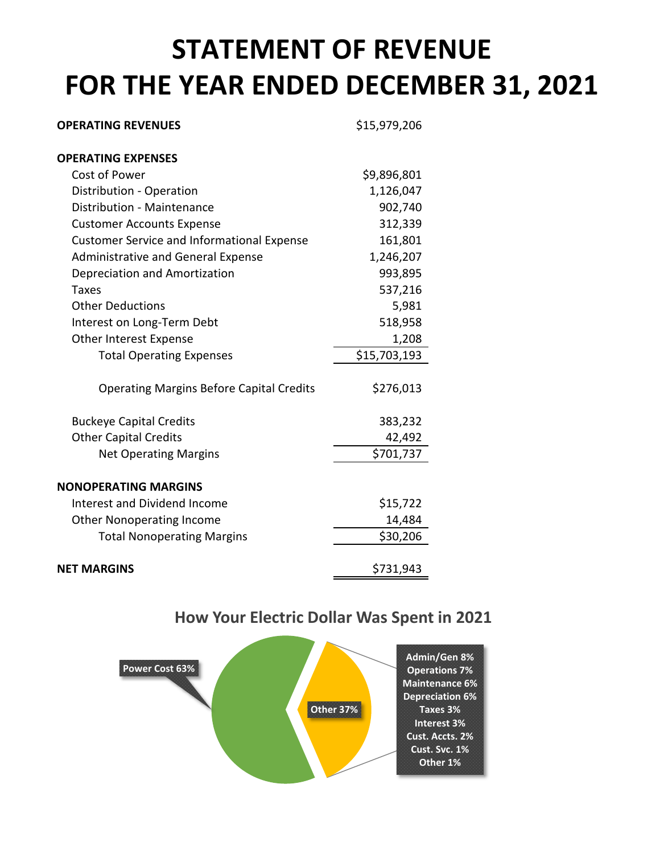## **STATEMENT OF REVENUE FOR THE YEAR ENDED DECEMBER 31, 2021**

| <b>OPERATING REVENUES</b>                         | \$15,979,206 |
|---------------------------------------------------|--------------|
| <b>OPERATING EXPENSES</b>                         |              |
| Cost of Power                                     | \$9,896,801  |
| Distribution - Operation                          | 1,126,047    |
| Distribution - Maintenance                        | 902,740      |
| <b>Customer Accounts Expense</b>                  | 312,339      |
| <b>Customer Service and Informational Expense</b> | 161,801      |
| <b>Administrative and General Expense</b>         | 1,246,207    |
| Depreciation and Amortization                     | 993,895      |
| Taxes                                             | 537,216      |
| <b>Other Deductions</b>                           | 5,981        |
| Interest on Long-Term Debt                        | 518,958      |
| Other Interest Expense                            | 1,208        |
| <b>Total Operating Expenses</b>                   | \$15,703,193 |
| <b>Operating Margins Before Capital Credits</b>   | \$276,013    |
| <b>Buckeye Capital Credits</b>                    | 383,232      |
| <b>Other Capital Credits</b>                      | 42,492       |
| <b>Net Operating Margins</b>                      | \$701,737    |
| <b>NONOPERATING MARGINS</b>                       |              |
| Interest and Dividend Income                      | \$15,722     |
| <b>Other Nonoperating Income</b>                  | 14,484       |
| <b>Total Nonoperating Margins</b>                 | \$30,206     |
| <b>NET MARGINS</b>                                | \$731,943    |

#### **How Your Electric Dollar Was Spent in 2021**